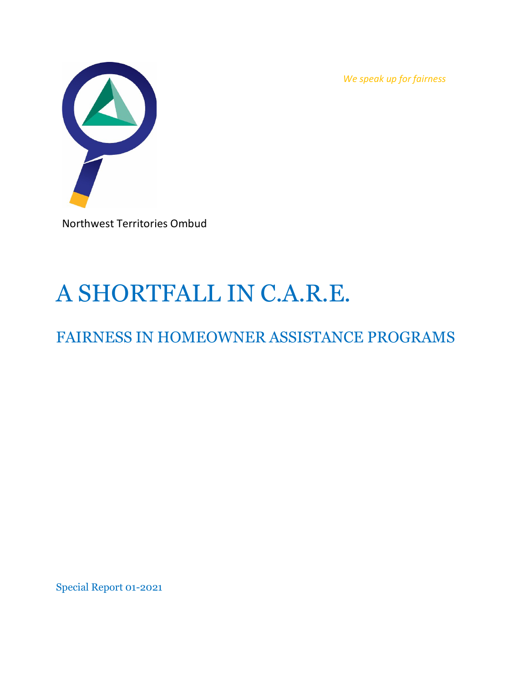*We speak up for fairness*



Northwest Territories Ombud

# A SHORTFALL IN C.A.R.E.

# FAIRNESS IN HOMEOWNER ASSISTANCE PROGRAMS

Special Report 01-2021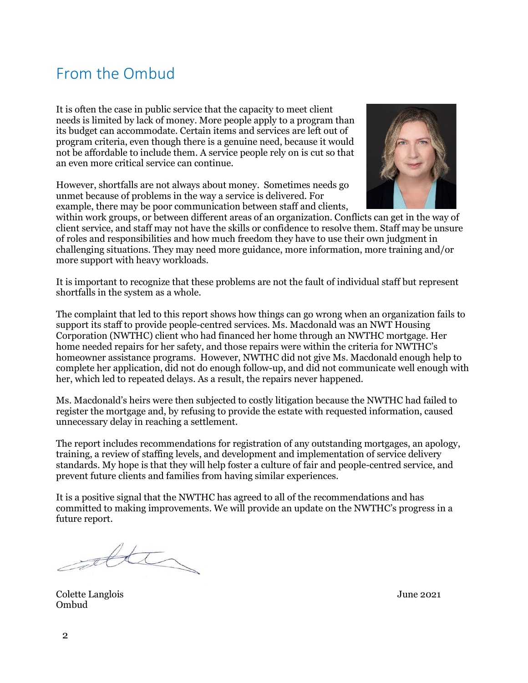### <span id="page-1-0"></span>From the Ombud

It is often the case in public service that the capacity to meet client needs is limited by lack of money. More people apply to a program than its budget can accommodate. Certain items and services are left out of program criteria, even though there is a genuine need, because it would not be affordable to include them. A service people rely on is cut so that an even more critical service can continue.

However, shortfalls are not always about money. Sometimes needs go unmet because of problems in the way a service is delivered. For example, there may be poor communication between staff and clients,



within work groups, or between different areas of an organization. Conflicts can get in the way of client service, and staff may not have the skills or confidence to resolve them. Staff may be unsure of roles and responsibilities and how much freedom they have to use their own judgment in challenging situations. They may need more guidance, more information, more training and/or more support with heavy workloads.

It is important to recognize that these problems are not the fault of individual staff but represent shortfalls in the system as a whole.

The complaint that led to this report shows how things can go wrong when an organization fails to support its staff to provide people-centred services. Ms. Macdonald was an NWT Housing Corporation (NWTHC) client who had financed her home through an NWTHC mortgage. Her home needed repairs for her safety, and those repairs were within the criteria for NWTHC's homeowner assistance programs. However, NWTHC did not give Ms. Macdonald enough help to complete her application, did not do enough follow-up, and did not communicate well enough with her, which led to repeated delays. As a result, the repairs never happened.

Ms. Macdonald's heirs were then subjected to costly litigation because the NWTHC had failed to register the mortgage and, by refusing to provide the estate with requested information, caused unnecessary delay in reaching a settlement.

The report includes recommendations for registration of any outstanding mortgages, an apology, training, a review of staffing levels, and development and implementation of service delivery standards. My hope is that they will help foster a culture of fair and people-centred service, and prevent future clients and families from having similar experiences.

It is a positive signal that the NWTHC has agreed to all of the recommendations and has committed to making improvements. We will provide an update on the NWTHC's progress in a future report.

atter

Colette Langlois June 2021 Ombud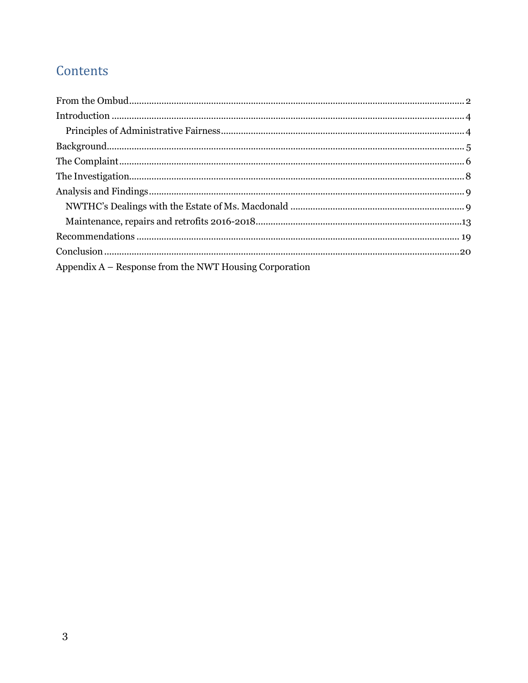# Contents

| Appendix $A -$ Response from the NWT Housing Corporation |  |
|----------------------------------------------------------|--|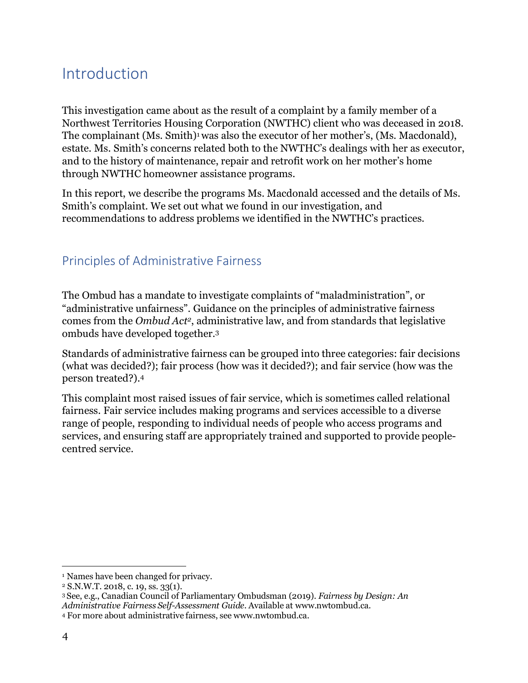# <span id="page-3-0"></span>Introduction

This investigation came about as the result of a complaint by a family member of a Northwest Territories Housing Corporation (NWTHC) client who was deceased in 2018. The complainant (Ms. Smith)<sup>1</sup> was also the executor of her mother's, (Ms. Macdonald), estate. Ms. Smith's concerns related both to the NWTHC's dealings with her as executor, and to the history of maintenance, repair and retrofit work on her mother's home through NWTHC homeowner assistance programs.

In this report, we describe the programs Ms. Macdonald accessed and the details of Ms. Smith's complaint. We set out what we found in our investigation, and recommendations to address problems we identified in the NWTHC's practices.

### <span id="page-3-1"></span>Principles of Administrative Fairness

The Ombud has a mandate to investigate complaints of "maladministration", or "administrative unfairness". Guidance on the principles of administrative fairness comes from the *Ombud Ac[t2](#page-3-3)*, administrative law, and from standards that legislative ombuds have developed together[.3](#page-3-4)

Standards of administrative fairness can be grouped into three categories: fair decisions (what was decided?); fair process (how was it decided?); and fair service (how was the person treated?)[.4](#page-3-5)

This complaint most raised issues of fair service, which is sometimes called relational fairness. Fair service includes making programs and services accessible to a diverse range of people, responding to individual needs of people who access programs and services, and ensuring staff are appropriately trained and supported to provide peoplecentred service.

<span id="page-3-2"></span><sup>1</sup> Names have been changed for privacy.

<span id="page-3-3"></span><sup>2</sup> S.N.W.T. 2018, c. 19, ss. 33(1).

<span id="page-3-4"></span><sup>3</sup> See, e.g., Canadian Council of Parliamentary Ombudsman (2019). *Fairness by Design: An Administrative Fairness Self-Assessment Guide.* Available at [www.nwtombud.ca.](http://www.nwtombud.ca/)

<span id="page-3-5"></span><sup>4</sup> For more about administrative fairness, see [www.nwtombud.ca.](http://www.nwtombud.ca/)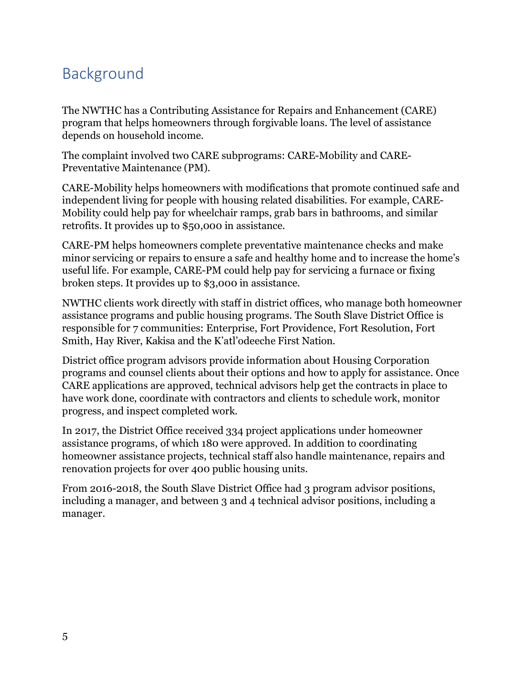# <span id="page-4-0"></span>Background

The NWTHC has a Contributing Assistance for Repairs and Enhancement (CARE) program that helps homeowners through forgivable loans. The level of assistance depends on household income.

The complaint involved two CARE subprograms: CARE-Mobility and CARE-Preventative Maintenance (PM).

CARE-Mobility helps homeowners with modifications that promote continued safe and independent living for people with housing related disabilities. For example, CARE-Mobility could help pay for wheelchair ramps, grab bars in bathrooms, and similar retrofits. It provides up to \$50,000 in assistance.

CARE-PM helps homeowners complete preventative maintenance checks and make minor servicing or repairs to ensure a safe and healthy home and to increase the home's useful life. For example, CARE-PM could help pay for servicing a furnace or fixing broken steps. It provides up to \$3,000 in assistance.

NWTHC clients work directly with staff in district offices, who manage both homeowner assistance programs and public housing programs. The South Slave District Office is responsible for 7 communities: Enterprise, Fort Providence, Fort Resolution, Fort Smith, Hay River, Kakisa and the K'atl'odeeche First Nation.

District office program advisors provide information about Housing Corporation programs and counsel clients about their options and how to apply for assistance. Once CARE applications are approved, technical advisors help get the contracts in place to have work done, coordinate with contractors and clients to schedule work, monitor progress, and inspect completed work.

In 2017, the District Office received 334 project applications under homeowner assistance programs, of which 180 were approved. In addition to coordinating homeowner assistance projects, technical staff also handle maintenance, repairs and renovation projects for over 400 public housing units.

From 2016-2018, the South Slave District Office had 3 program advisor positions, including a manager, and between 3 and 4 technical advisor positions, including a manager.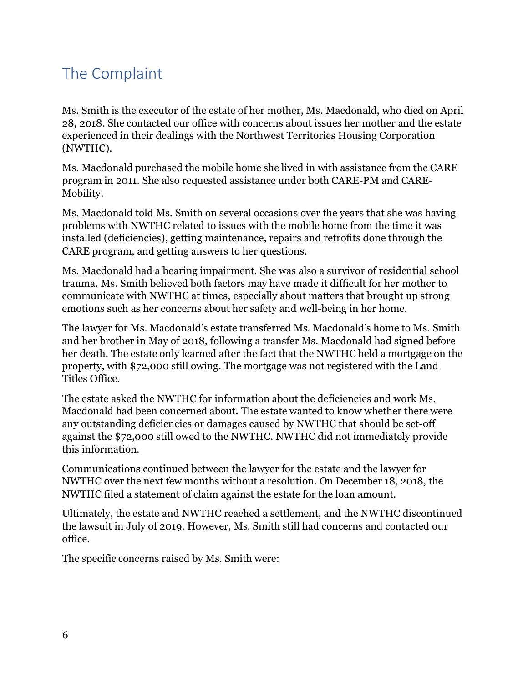# <span id="page-5-0"></span>The Complaint

Ms. Smith is the executor of the estate of her mother, Ms. Macdonald, who died on April 28, 2018. She contacted our office with concerns about issues her mother and the estate experienced in their dealings with the Northwest Territories Housing Corporation (NWTHC).

Ms. Macdonald purchased the mobile home she lived in with assistance from the CARE program in 2011. She also requested assistance under both CARE-PM and CARE-Mobility.

Ms. Macdonald told Ms. Smith on several occasions over the years that she was having problems with NWTHC related to issues with the mobile home from the time it was installed (deficiencies), getting maintenance, repairs and retrofits done through the CARE program, and getting answers to her questions.

Ms. Macdonald had a hearing impairment. She was also a survivor of residential school trauma. Ms. Smith believed both factors may have made it difficult for her mother to communicate with NWTHC at times, especially about matters that brought up strong emotions such as her concerns about her safety and well-being in her home.

The lawyer for Ms. Macdonald's estate transferred Ms. Macdonald's home to Ms. Smith and her brother in May of 2018, following a transfer Ms. Macdonald had signed before her death. The estate only learned after the fact that the NWTHC held a mortgage on the property, with \$72,000 still owing. The mortgage was not registered with the Land Titles Office.

The estate asked the NWTHC for information about the deficiencies and work Ms. Macdonald had been concerned about. The estate wanted to know whether there were any outstanding deficiencies or damages caused by NWTHC that should be set-off against the \$72,000 still owed to the NWTHC. NWTHC did not immediately provide this information.

Communications continued between the lawyer for the estate and the lawyer for NWTHC over the next few months without a resolution. On December 18, 2018, the NWTHC filed a statement of claim against the estate for the loan amount.

Ultimately, the estate and NWTHC reached a settlement, and the NWTHC discontinued the lawsuit in July of 2019. However, Ms. Smith still had concerns and contacted our office.

The specific concerns raised by Ms. Smith were: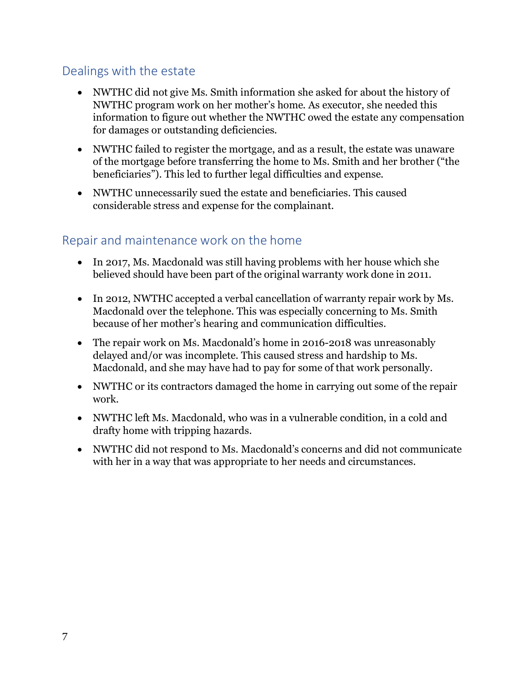### Dealings with the estate

- NWTHC did not give Ms. Smith information she asked for about the history of NWTHC program work on her mother's home. As executor, she needed this information to figure out whether the NWTHC owed the estate any compensation for damages or outstanding deficiencies.
- NWTHC failed to register the mortgage, and as a result, the estate was unaware of the mortgage before transferring the home to Ms. Smith and her brother ("the beneficiaries"). This led to further legal difficulties and expense.
- NWTHC unnecessarily sued the estate and beneficiaries. This caused considerable stress and expense for the complainant.

### Repair and maintenance work on the home

- In 2017, Ms. Macdonald was still having problems with her house which she believed should have been part of the original warranty work done in 2011.
- In 2012, NWTHC accepted a verbal cancellation of warranty repair work by Ms. Macdonald over the telephone. This was especially concerning to Ms. Smith because of her mother's hearing and communication difficulties.
- The repair work on Ms. Macdonald's home in 2016-2018 was unreasonably delayed and/or was incomplete. This caused stress and hardship to Ms. Macdonald, and she may have had to pay for some of that work personally.
- NWTHC or its contractors damaged the home in carrying out some of the repair work.
- NWTHC left Ms. Macdonald, who was in a vulnerable condition, in a cold and drafty home with tripping hazards.
- NWTHC did not respond to Ms. Macdonald's concerns and did not communicate with her in a way that was appropriate to her needs and circumstances.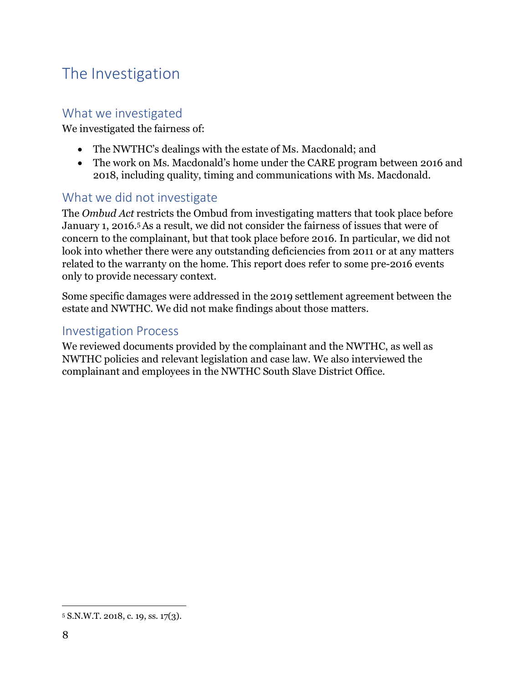# <span id="page-7-0"></span>The Investigation

### What we investigated

We investigated the fairness of:

- The NWTHC's dealings with the estate of Ms. Macdonald; and
- The work on Ms. Macdonald's home under the CARE program between 2016 and 2018, including quality, timing and communications with Ms. Macdonald.

#### What we did not investigate

The *Ombud Act* restricts the Ombud from investigating matters that took place before January 1, 2016[.5 A](#page-7-1)s a result, we did not consider the fairness of issues that were of concern to the complainant, but that took place before 2016. In particular, we did not look into whether there were any outstanding deficiencies from 2011 or at any matters related to the warranty on the home. This report does refer to some pre-2016 events only to provide necessary context.

Some specific damages were addressed in the 2019 settlement agreement between the estate and NWTHC. We did not make findings about those matters.

#### Investigation Process

We reviewed documents provided by the complainant and the NWTHC, as well as NWTHC policies and relevant legislation and case law. We also interviewed the complainant and employees in the NWTHC South Slave District Office.

<span id="page-7-1"></span><sup>5</sup> S.N.W.T. 2018, c. 19, ss. 17(3).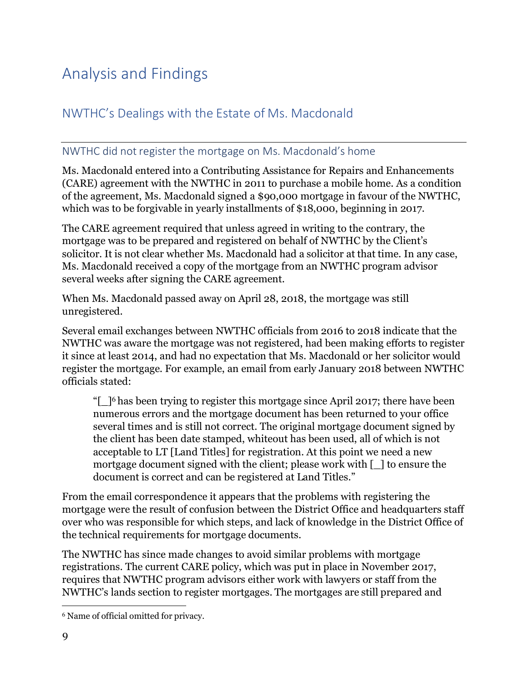# <span id="page-8-0"></span>Analysis and Findings

### <span id="page-8-1"></span>NWTHC's Dealings with the Estate of Ms. Macdonald

#### NWTHC did not register the mortgage on Ms. Macdonald's home

Ms. Macdonald entered into a Contributing Assistance for Repairs and Enhancements (CARE) agreement with the NWTHC in 2011 to purchase a mobile home. As a condition of the agreement, Ms. Macdonald signed a \$90,000 mortgage in favour of the NWTHC, which was to be forgivable in yearly installments of \$18,000, beginning in 2017.

The CARE agreement required that unless agreed in writing to the contrary, the mortgage was to be prepared and registered on behalf of NWTHC by the Client's solicitor. It is not clear whether Ms. Macdonald had a solicitor at that time. In any case, Ms. Macdonald received a copy of the mortgage from an NWTHC program advisor several weeks after signing the CARE agreement.

When Ms. Macdonald passed away on April 28, 2018, the mortgage was still unregistered.

Several email exchanges between NWTHC officials from 2016 to 2018 indicate that the NWTHC was aware the mortgage was not registered, had been making efforts to register it since at least 2014, and had no expectation that Ms. Macdonald or her solicitor would register the mortgage. For example, an email from early January 2018 between NWTHC officials stated:

" $\lceil$  1<sup>6</sup> has been trying to register this mortgage since April 2017; there have been numerous errors and the mortgage document has been returned to your office several times and is still not correct. The original mortgage document signed by the client has been date stamped, whiteout has been used, all of which is not acceptable to LT [Land Titles] for registration. At this point we need a new mortgage document signed with the client; please work with [\_] to ensure the document is correct and can be registered at Land Titles."

From the email correspondence it appears that the problems with registering the mortgage were the result of confusion between the District Office and headquarters staff over who was responsible for which steps, and lack of knowledge in the District Office of the technical requirements for mortgage documents.

The NWTHC has since made changes to avoid similar problems with mortgage registrations. The current CARE policy, which was put in place in November 2017, requires that NWTHC program advisors either work with lawyers or staff from the NWTHC's lands section to register mortgages. The mortgages are still prepared and

<span id="page-8-2"></span><sup>6</sup> Name of official omitted for privacy.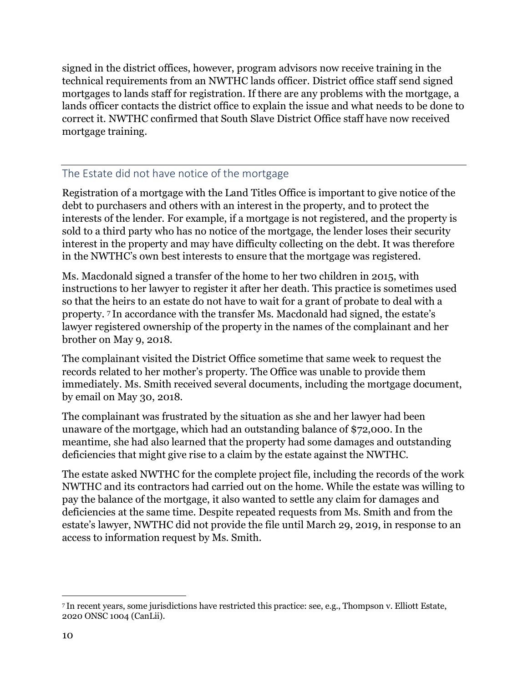signed in the district offices, however, program advisors now receive training in the technical requirements from an NWTHC lands officer. District office staff send signed mortgages to lands staff for registration. If there are any problems with the mortgage, a lands officer contacts the district office to explain the issue and what needs to be done to correct it. NWTHC confirmed that South Slave District Office staff have now received mortgage training.

#### The Estate did not have notice of the mortgage

Registration of a mortgage with the Land Titles Office is important to give notice of the debt to purchasers and others with an interest in the property, and to protect the interests of the lender. For example, if a mortgage is not registered, and the property is sold to a third party who has no notice of the mortgage, the lender loses their security interest in the property and may have difficulty collecting on the debt. It was therefore in the NWTHC's own best interests to ensure that the mortgage was registered.

Ms. Macdonald signed a transfer of the home to her two children in 2015, with instructions to her lawyer to register it after her death. This practice is sometimes used so that the heirs to an estate do not have to wait for a grant of probate to deal with a property. [7](#page-9-0) In accordance with the transfer Ms. Macdonald had signed, the estate's lawyer registered ownership of the property in the names of the complainant and her brother on May 9, 2018.

The complainant visited the District Office sometime that same week to request the records related to her mother's property. The Office was unable to provide them immediately. Ms. Smith received several documents, including the mortgage document, by email on May 30, 2018.

The complainant was frustrated by the situation as she and her lawyer had been unaware of the mortgage, which had an outstanding balance of \$72,000. In the meantime, she had also learned that the property had some damages and outstanding deficiencies that might give rise to a claim by the estate against the NWTHC.

The estate asked NWTHC for the complete project file, including the records of the work NWTHC and its contractors had carried out on the home. While the estate was willing to pay the balance of the mortgage, it also wanted to settle any claim for damages and deficiencies at the same time. Despite repeated requests from Ms. Smith and from the estate's lawyer, NWTHC did not provide the file until March 29, 2019, in response to an access to information request by Ms. Smith.

<span id="page-9-0"></span><sup>7</sup> In recent years, some jurisdictions have restricted this practice: see, e.g., Thompson v. Elliott Estate, 2020 ONSC 1004 (CanLii).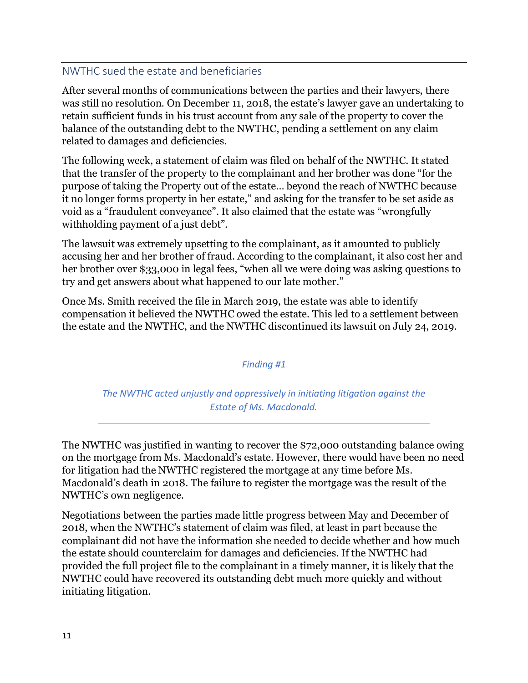#### NWTHC sued the estate and beneficiaries

After several months of communications between the parties and their lawyers, there was still no resolution. On December 11, 2018, the estate's lawyer gave an undertaking to retain sufficient funds in his trust account from any sale of the property to cover the balance of the outstanding debt to the NWTHC, pending a settlement on any claim related to damages and deficiencies.

The following week, a statement of claim was filed on behalf of the NWTHC. It stated that the transfer of the property to the complainant and her brother was done "for the purpose of taking the Property out of the estate… beyond the reach of NWTHC because it no longer forms property in her estate," and asking for the transfer to be set aside as void as a "fraudulent conveyance". It also claimed that the estate was "wrongfully withholding payment of a just debt".

The lawsuit was extremely upsetting to the complainant, as it amounted to publicly accusing her and her brother of fraud. According to the complainant, it also cost her and her brother over \$33,000 in legal fees, "when all we were doing was asking questions to try and get answers about what happened to our late mother."

Once Ms. Smith received the file in March 2019, the estate was able to identify compensation it believed the NWTHC owed the estate. This led to a settlement between the estate and the NWTHC, and the NWTHC discontinued its lawsuit on July 24, 2019.

*Finding #1*

*The NWTHC acted unjustly and oppressively in initiating litigation against the Estate of Ms. Macdonald.*

The NWTHC was justified in wanting to recover the \$72,000 outstanding balance owing on the mortgage from Ms. Macdonald's estate. However, there would have been no need for litigation had the NWTHC registered the mortgage at any time before Ms. Macdonald's death in 2018. The failure to register the mortgage was the result of the NWTHC's own negligence.

Negotiations between the parties made little progress between May and December of 2018, when the NWTHC's statement of claim was filed, at least in part because the complainant did not have the information she needed to decide whether and how much the estate should counterclaim for damages and deficiencies. If the NWTHC had provided the full project file to the complainant in a timely manner, it is likely that the NWTHC could have recovered its outstanding debt much more quickly and without initiating litigation.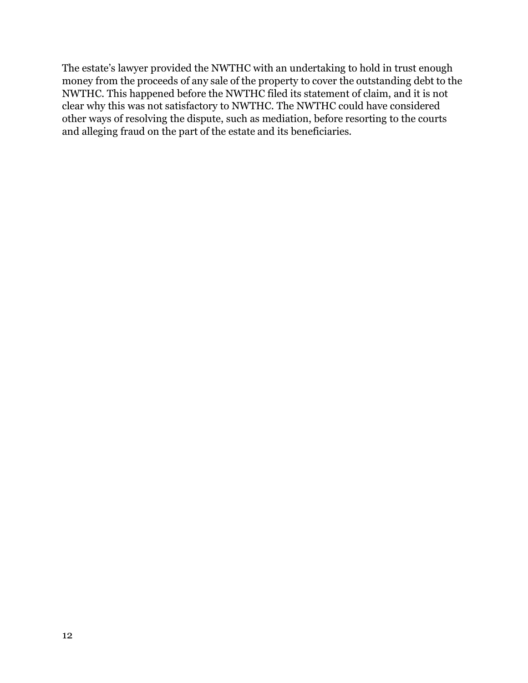The estate's lawyer provided the NWTHC with an undertaking to hold in trust enough money from the proceeds of any sale of the property to cover the outstanding debt to the NWTHC. This happened before the NWTHC filed its statement of claim, and it is not clear why this was not satisfactory to NWTHC. The NWTHC could have considered other ways of resolving the dispute, such as mediation, before resorting to the courts and alleging fraud on the part of the estate and its beneficiaries.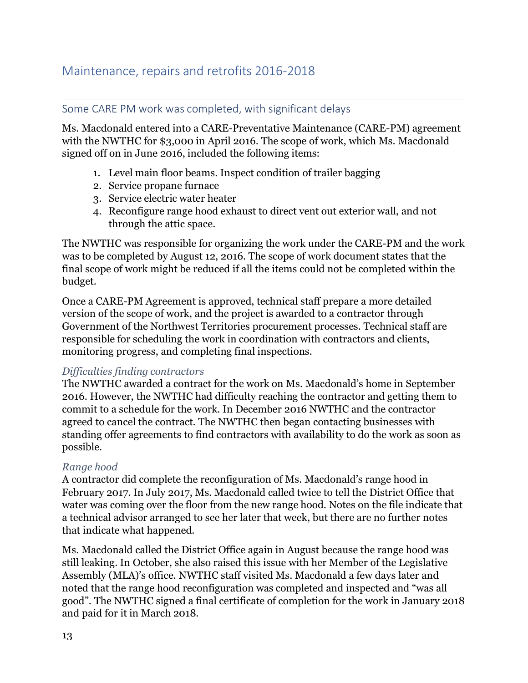### <span id="page-12-0"></span>Maintenance, repairs and retrofits 2016-2018

#### Some CARE PM work was completed, with significant delays

Ms. Macdonald entered into a CARE-Preventative Maintenance (CARE-PM) agreement with the NWTHC for \$3,000 in April 2016. The scope of work, which Ms. Macdonald signed off on in June 2016, included the following items:

- 1. Level main floor beams. Inspect condition of trailer bagging
- 2. Service propane furnace
- 3. Service electric water heater
- 4. Reconfigure range hood exhaust to direct vent out exterior wall, and not through the attic space.

The NWTHC was responsible for organizing the work under the CARE-PM and the work was to be completed by August 12, 2016. The scope of work document states that the final scope of work might be reduced if all the items could not be completed within the budget.

Once a CARE-PM Agreement is approved, technical staff prepare a more detailed version of the scope of work, and the project is awarded to a contractor through Government of the Northwest Territories procurement processes. Technical staff are responsible for scheduling the work in coordination with contractors and clients, monitoring progress, and completing final inspections.

#### *Difficulties finding contractors*

The NWTHC awarded a contract for the work on Ms. Macdonald's home in September 2016. However, the NWTHC had difficulty reaching the contractor and getting them to commit to a schedule for the work. In December 2016 NWTHC and the contractor agreed to cancel the contract. The NWTHC then began contacting businesses with standing offer agreements to find contractors with availability to do the work as soon as possible.

#### *Range hood*

A contractor did complete the reconfiguration of Ms. Macdonald's range hood in February 2017. In July 2017, Ms. Macdonald called twice to tell the District Office that water was coming over the floor from the new range hood. Notes on the file indicate that a technical advisor arranged to see her later that week, but there are no further notes that indicate what happened.

Ms. Macdonald called the District Office again in August because the range hood was still leaking. In October, she also raised this issue with her Member of the Legislative Assembly (MLA)'s office. NWTHC staff visited Ms. Macdonald a few days later and noted that the range hood reconfiguration was completed and inspected and "was all good". The NWTHC signed a final certificate of completion for the work in January 2018 and paid for it in March 2018.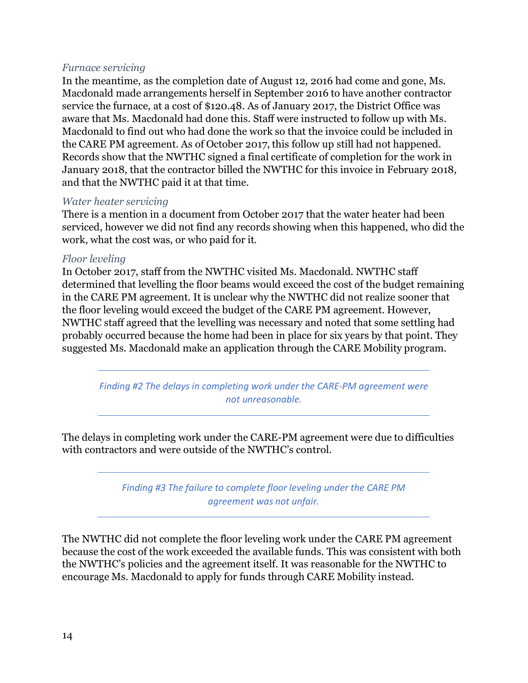#### *Furnace servicing*

In the meantime, as the completion date of August 12, 2016 had come and gone, Ms. Macdonald made arrangements herself in September 2016 to have another contractor service the furnace, at a cost of \$120.48. As of January 2017, the District Office was aware that Ms. Macdonald had done this. Staff were instructed to follow up with Ms. Macdonald to find out who had done the work so that the invoice could be included in the CARE PM agreement. As of October 2017, this follow up still had not happened. Records show that the NWTHC signed a final certificate of completion for the work in January 2018, that the contractor billed the NWTHC for this invoice in February 2018, and that the NWTHC paid it at that time.

#### *Water heater servicing*

There is a mention in a document from October 2017 that the water heater had been serviced, however we did not find any records showing when this happened, who did the work, what the cost was, or who paid for it.

#### *Floor leveling*

In October 2017, staff from the NWTHC visited Ms. Macdonald. NWTHC staff determined that levelling the floor beams would exceed the cost of the budget remaining in the CARE PM agreement. It is unclear why the NWTHC did not realize sooner that the floor leveling would exceed the budget of the CARE PM agreement. However, NWTHC staff agreed that the levelling was necessary and noted that some settling had probably occurred because the home had been in place for six years by that point. They suggested Ms. Macdonald make an application through the CARE Mobility program.

*Finding #2 The delays in completing work under the CARE-PM agreement were not unreasonable.*

The delays in completing work under the CARE-PM agreement were due to difficulties with contractors and were outside of the NWTHC's control.

> *Finding #3 The failure to complete floor leveling under the CARE PM agreement was not unfair.*

The NWTHC did not complete the floor leveling work under the CARE PM agreement because the cost of the work exceeded the available funds. This was consistent with both the NWTHC's policies and the agreement itself. It was reasonable for the NWTHC to encourage Ms. Macdonald to apply for funds through CARE Mobility instead.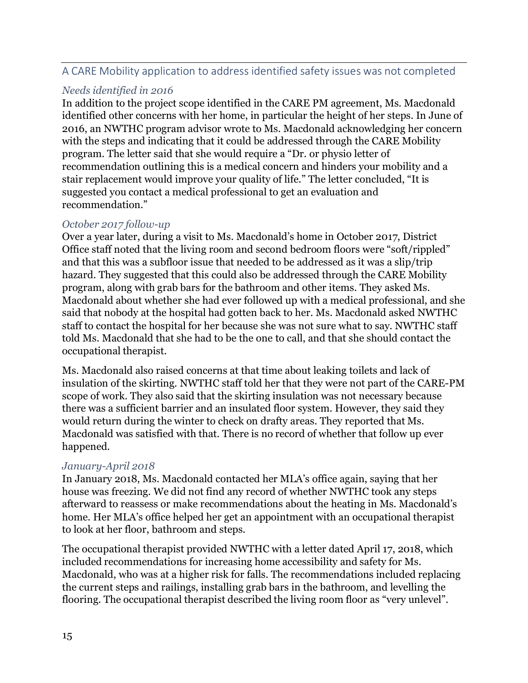#### A CARE Mobility application to address identified safety issues was not completed

#### *Needs identified in 2016*

In addition to the project scope identified in the CARE PM agreement, Ms. Macdonald identified other concerns with her home, in particular the height of her steps. In June of 2016, an NWTHC program advisor wrote to Ms. Macdonald acknowledging her concern with the steps and indicating that it could be addressed through the CARE Mobility program. The letter said that she would require a "Dr. or physio letter of recommendation outlining this is a medical concern and hinders your mobility and a stair replacement would improve your quality of life." The letter concluded, "It is suggested you contact a medical professional to get an evaluation and recommendation."

#### *October 2017 follow-up*

Over a year later, during a visit to Ms. Macdonald's home in October 2017, District Office staff noted that the living room and second bedroom floors were "soft/rippled" and that this was a subfloor issue that needed to be addressed as it was a slip/trip hazard. They suggested that this could also be addressed through the CARE Mobility program, along with grab bars for the bathroom and other items. They asked Ms. Macdonald about whether she had ever followed up with a medical professional, and she said that nobody at the hospital had gotten back to her. Ms. Macdonald asked NWTHC staff to contact the hospital for her because she was not sure what to say. NWTHC staff told Ms. Macdonald that she had to be the one to call, and that she should contact the occupational therapist.

Ms. Macdonald also raised concerns at that time about leaking toilets and lack of insulation of the skirting. NWTHC staff told her that they were not part of the CARE-PM scope of work. They also said that the skirting insulation was not necessary because there was a sufficient barrier and an insulated floor system. However, they said they would return during the winter to check on drafty areas. They reported that Ms. Macdonald was satisfied with that. There is no record of whether that follow up ever happened.

#### *January-April 2018*

In January 2018, Ms. Macdonald contacted her MLA's office again, saying that her house was freezing. We did not find any record of whether NWTHC took any steps afterward to reassess or make recommendations about the heating in Ms. Macdonald's home. Her MLA's office helped her get an appointment with an occupational therapist to look at her floor, bathroom and steps.

The occupational therapist provided NWTHC with a letter dated April 17, 2018, which included recommendations for increasing home accessibility and safety for Ms. Macdonald, who was at a higher risk for falls. The recommendations included replacing the current steps and railings, installing grab bars in the bathroom, and levelling the flooring. The occupational therapist described the living room floor as "very unlevel".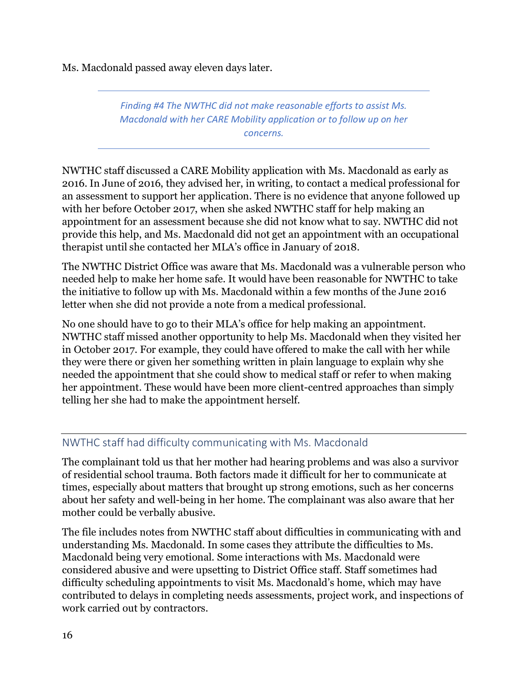Ms. Macdonald passed away eleven days later.

*Finding #4 The NWTHC did not make reasonable efforts to assist Ms. Macdonald with her CARE Mobility application or to follow up on her concerns.*

NWTHC staff discussed a CARE Mobility application with Ms. Macdonald as early as 2016. In June of 2016, they advised her, in writing, to contact a medical professional for an assessment to support her application. There is no evidence that anyone followed up with her before October 2017, when she asked NWTHC staff for help making an appointment for an assessment because she did not know what to say. NWTHC did not provide this help, and Ms. Macdonald did not get an appointment with an occupational therapist until she contacted her MLA's office in January of 2018.

The NWTHC District Office was aware that Ms. Macdonald was a vulnerable person who needed help to make her home safe. It would have been reasonable for NWTHC to take the initiative to follow up with Ms. Macdonald within a few months of the June 2016 letter when she did not provide a note from a medical professional.

No one should have to go to their MLA's office for help making an appointment. NWTHC staff missed another opportunity to help Ms. Macdonald when they visited her in October 2017. For example, they could have offered to make the call with her while they were there or given her something written in plain language to explain why she needed the appointment that she could show to medical staff or refer to when making her appointment. These would have been more client-centred approaches than simply telling her she had to make the appointment herself.

#### NWTHC staff had difficulty communicating with Ms. Macdonald

The complainant told us that her mother had hearing problems and was also a survivor of residential school trauma. Both factors made it difficult for her to communicate at times, especially about matters that brought up strong emotions, such as her concerns about her safety and well-being in her home. The complainant was also aware that her mother could be verbally abusive.

The file includes notes from NWTHC staff about difficulties in communicating with and understanding Ms. Macdonald. In some cases they attribute the difficulties to Ms. Macdonald being very emotional. Some interactions with Ms. Macdonald were considered abusive and were upsetting to District Office staff. Staff sometimes had difficulty scheduling appointments to visit Ms. Macdonald's home, which may have contributed to delays in completing needs assessments, project work, and inspections of work carried out by contractors.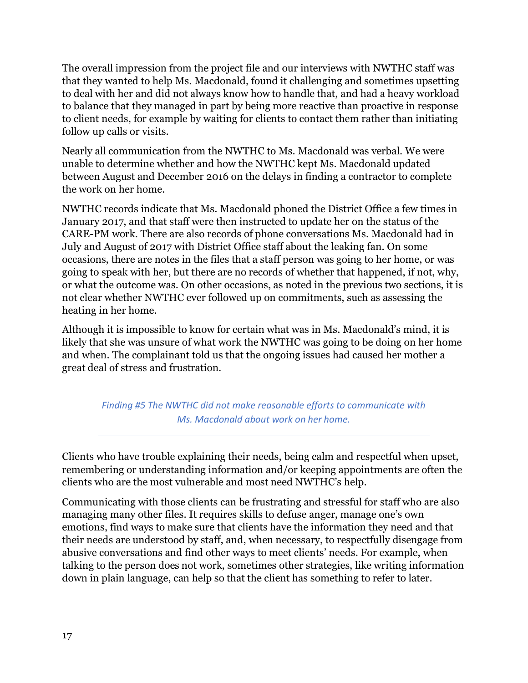The overall impression from the project file and our interviews with NWTHC staff was that they wanted to help Ms. Macdonald, found it challenging and sometimes upsetting to deal with her and did not always know how to handle that, and had a heavy workload to balance that they managed in part by being more reactive than proactive in response to client needs, for example by waiting for clients to contact them rather than initiating follow up calls or visits.

Nearly all communication from the NWTHC to Ms. Macdonald was verbal. We were unable to determine whether and how the NWTHC kept Ms. Macdonald updated between August and December 2016 on the delays in finding a contractor to complete the work on her home.

NWTHC records indicate that Ms. Macdonald phoned the District Office a few times in January 2017, and that staff were then instructed to update her on the status of the CARE-PM work. There are also records of phone conversations Ms. Macdonald had in July and August of 2017 with District Office staff about the leaking fan. On some occasions, there are notes in the files that a staff person was going to her home, or was going to speak with her, but there are no records of whether that happened, if not, why, or what the outcome was. On other occasions, as noted in the previous two sections, it is not clear whether NWTHC ever followed up on commitments, such as assessing the heating in her home.

Although it is impossible to know for certain what was in Ms. Macdonald's mind, it is likely that she was unsure of what work the NWTHC was going to be doing on her home and when. The complainant told us that the ongoing issues had caused her mother a great deal of stress and frustration.

*Finding #5 The NWTHC did not make reasonable efforts to communicate with Ms. Macdonald about work on her home.*

Clients who have trouble explaining their needs, being calm and respectful when upset, remembering or understanding information and/or keeping appointments are often the clients who are the most vulnerable and most need NWTHC's help.

Communicating with those clients can be frustrating and stressful for staff who are also managing many other files. It requires skills to defuse anger, manage one's own emotions, find ways to make sure that clients have the information they need and that their needs are understood by staff, and, when necessary, to respectfully disengage from abusive conversations and find other ways to meet clients' needs. For example, when talking to the person does not work, sometimes other strategies, like writing information down in plain language, can help so that the client has something to refer to later.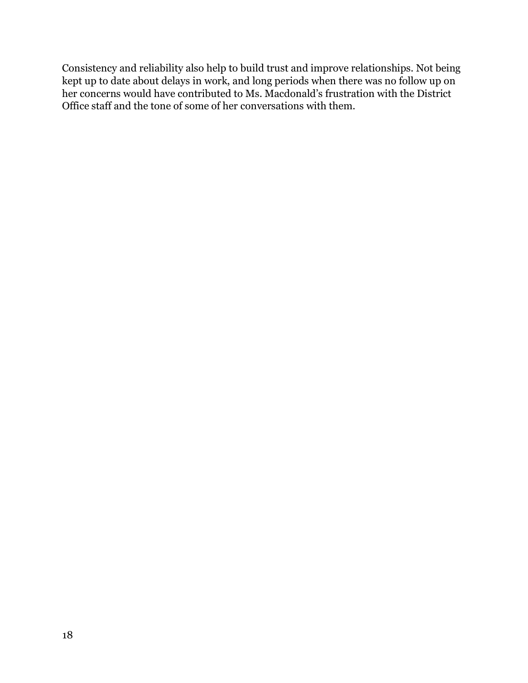Consistency and reliability also help to build trust and improve relationships. Not being kept up to date about delays in work, and long periods when there was no follow up on her concerns would have contributed to Ms. Macdonald's frustration with the District Office staff and the tone of some of her conversations with them.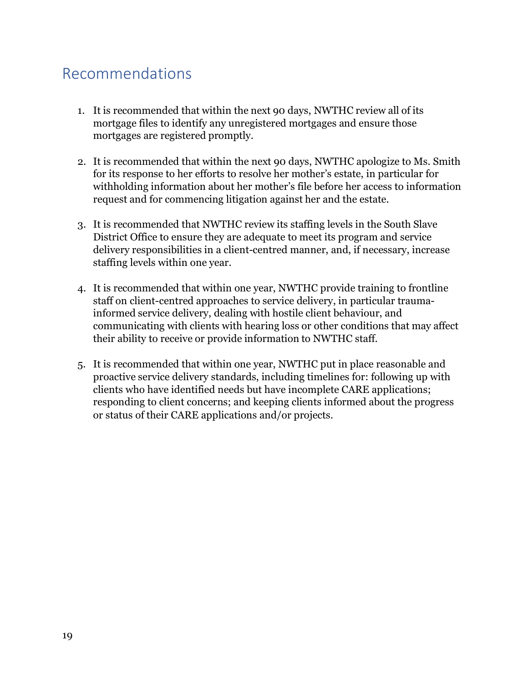### <span id="page-18-0"></span>Recommendations

- 1. It is recommended that within the next 90 days, NWTHC review all of its mortgage files to identify any unregistered mortgages and ensure those mortgages are registered promptly.
- 2. It is recommended that within the next 90 days, NWTHC apologize to Ms. Smith for its response to her efforts to resolve her mother's estate, in particular for withholding information about her mother's file before her access to information request and for commencing litigation against her and the estate.
- 3. It is recommended that NWTHC review its staffing levels in the South Slave District Office to ensure they are adequate to meet its program and service delivery responsibilities in a client-centred manner, and, if necessary, increase staffing levels within one year.
- 4. It is recommended that within one year, NWTHC provide training to frontline staff on client-centred approaches to service delivery, in particular traumainformed service delivery, dealing with hostile client behaviour, and communicating with clients with hearing loss or other conditions that may affect their ability to receive or provide information to NWTHC staff.
- 5. It is recommended that within one year, NWTHC put in place reasonable and proactive service delivery standards, including timelines for: following up with clients who have identified needs but have incomplete CARE applications; responding to client concerns; and keeping clients informed about the progress or status of their CARE applications and/or projects.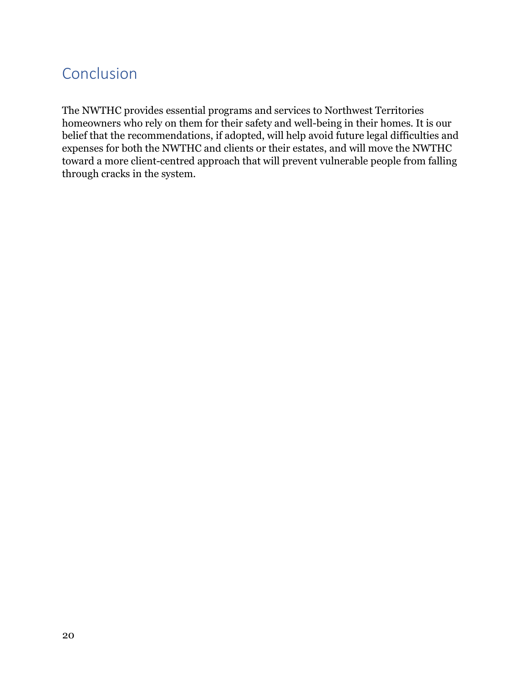# <span id="page-19-0"></span>Conclusion

The NWTHC provides essential programs and services to Northwest Territories homeowners who rely on them for their safety and well-being in their homes. It is our belief that the recommendations, if adopted, will help avoid future legal difficulties and expenses for both the NWTHC and clients or their estates, and will move the NWTHC toward a more client-centred approach that will prevent vulnerable people from falling through cracks in the system.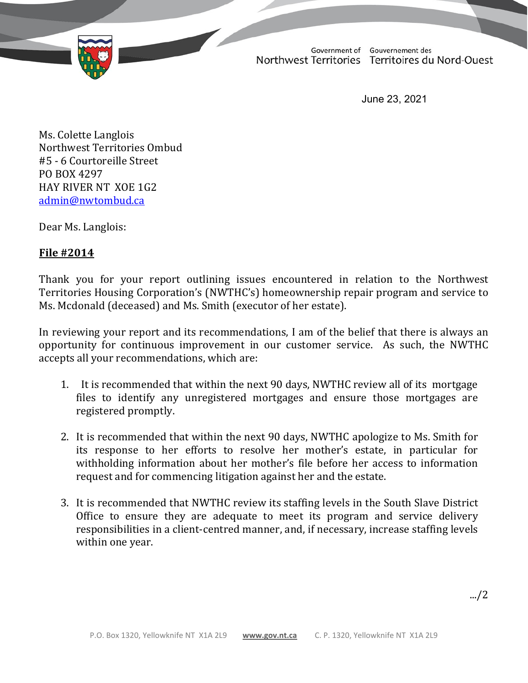

June 23, 2021

Ms. Colette Langlois Northwest Territories Ombud #5 - 6 Courtoreille Street PO BOX 4297 HAY RIVER NT XOE 1G2 [admin@nwtombud.ca](mailto:admin@nwtombud.ca)

Dear Ms. Langlois:

#### **File #2014**

Thank you for your report outlining issues encountered in relation to the Northwest Territories Housing Corporation's (NWTHC's) homeownership repair program and service to Ms. Mcdonald (deceased) and Ms. Smith (executor of her estate).

In reviewing your report and its recommendations, I am of the belief that there is always an opportunity for continuous improvement in our customer service. As such, the NWTHC accepts all your recommendations, which are:

- 1. It is recommended that within the next 90 days, NWTHC review all of its mortgage files to identify any unregistered mortgages and ensure those mortgages are registered promptly.
- 2. It is recommended that within the next 90 days, NWTHC apologize to Ms. Smith for its response to her efforts to resolve her mother's estate, in particular for withholding information about her mother's file before her access to information request and for commencing litigation against her and the estate.
- 3. It is recommended that NWTHC review its staffing levels in the South Slave District Office to ensure they are adequate to meet its program and service delivery responsibilities in a client-centred manner, and, if necessary, increase staffing levels within one year.

.../2